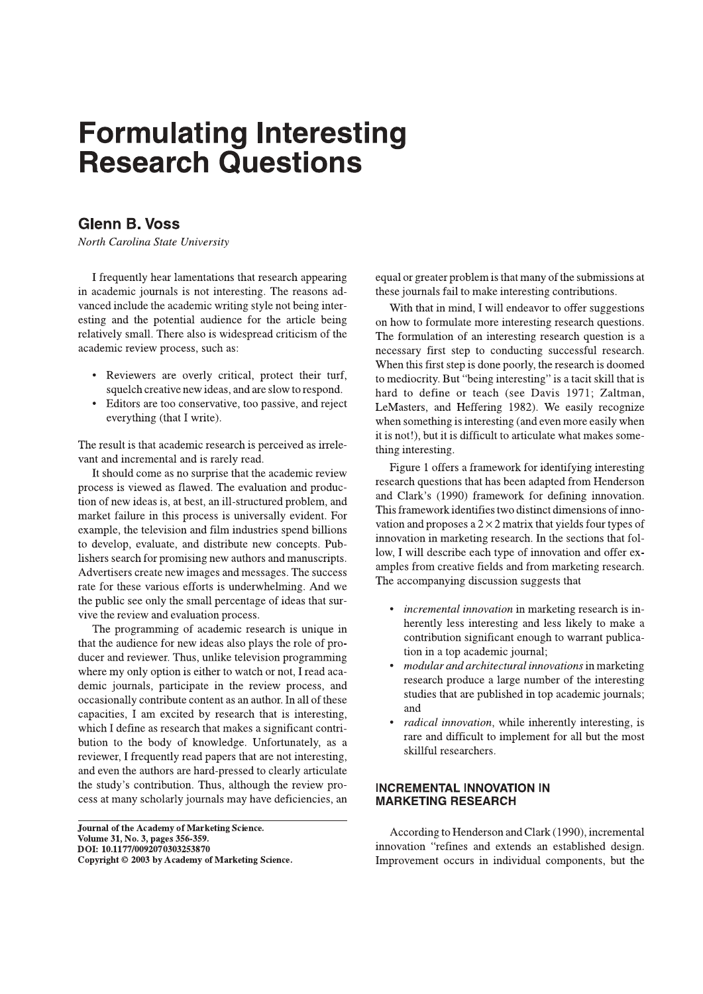# **Formulating Interesting Research Questions**

# **Glenn B. Voss**

North Carolina State University

I frequently hear lamentations that research appearing in academic journals is not interesting. The reasons advanced include the academic writing style not being interesting and the potential audience for the article being relatively small. There also is widespread criticism of the academic review process, such as:

- Reviewers are overly critical, protect their turf, squelch creative new ideas, and are slow to respond.
- Editors are too conservative, too passive, and reject everything (that I write).

The result is that academic research is perceived as irrelevant and incremental and is rarely read.

It should come as no surprise that the academic review process is viewed as flawed. The evaluation and production of new ideas is, at best, an ill-structured problem, and market failure in this process is universally evident. For example, the television and film industries spend billions to develop, evaluate, and distribute new concepts. Publishers search for promising new authors and manuscripts. Advertisers create new images and messages. The success rate for these various efforts is underwhelming. And we the public see only the small percentage of ideas that survive the review and evaluation process.

The programming of academic research is unique in that the audience for new ideas also plays the role of producer and reviewer. Thus, unlike television programming where my only option is either to watch or not, I read academic journals, participate in the review process, and occasionally contribute content as an author. In all of these capacities, I am excited by research that is interesting, which I define as research that makes a significant contribution to the body of knowledge. Unfortunately, as a reviewer, I frequently read papers that are not interesting, and even the authors are hard-pressed to clearly articulate the study's contribution. Thus, although the review process at many scholarly journals may have deficiencies, an

Journal of the Academy of Marketing Science. Volume 31, No. 3, pages 356-359. DOI: 10.1177/0092070303253870 Copyright © 2003 by Academy of Marketing Science. equal or greater problem is that many of the submissions at these journals fail to make interesting contributions.

With that in mind, I will endeavor to offer suggestions on how to formulate more interesting research questions. The formulation of an interesting research question is a necessary first step to conducting successful research. When this first step is done poorly, the research is doomed to mediocrity. But "being interesting" is a tacit skill that is hard to define or teach (see Davis 1971; Zaltman, LeMasters, and Heffering 1982). We easily recognize when something is interesting (and even more easily when it is not!), but it is difficult to articulate what makes something interesting.

Figure 1 offers a framework for identifying interesting research questions that has been adapted from Henderson and Clark's (1990) framework for defining innovation. This framework identifies two distinct dimensions of innovation and proposes a  $2 \times 2$  matrix that yields four types of innovation in marketing research. In the sections that follow, I will describe each type of innovation and offer examples from creative fields and from marketing research. The accompanying discussion suggests that

- *incremental innovation* in marketing research is inherently less interesting and less likely to make a contribution significant enough to warrant publication in a top academic journal;
- modular and architectural innovations in marketing research produce a large number of the interesting studies that are published in top academic journals; and
- *radical innovation*, while inherently interesting, is rare and difficult to implement for all but the most skillful researchers.

#### **INCREMENTAL INNOVATION IN MARKETING RESEARCH**

According to Henderson and Clark (1990), incremental innovation "refines and extends an established design. Improvement occurs in individual components, but the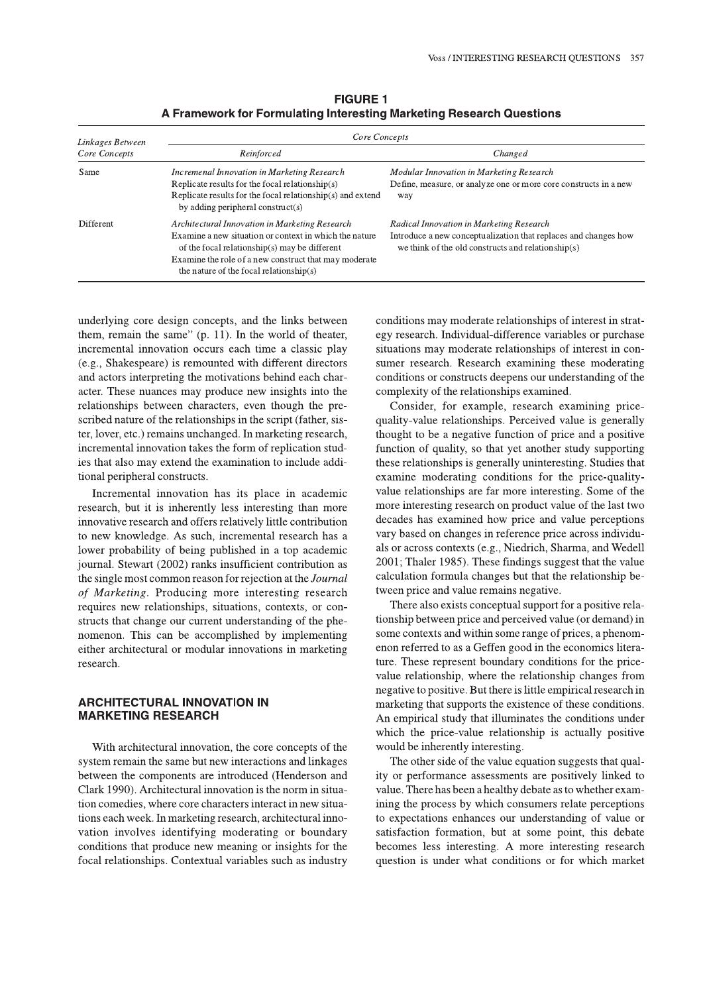| Linkages Between<br>Core Concepts | Core Concepts                                                                                                                                                                                                                                                     |                                                                                                                                                                   |
|-----------------------------------|-------------------------------------------------------------------------------------------------------------------------------------------------------------------------------------------------------------------------------------------------------------------|-------------------------------------------------------------------------------------------------------------------------------------------------------------------|
|                                   | Reinforced                                                                                                                                                                                                                                                        | Changed                                                                                                                                                           |
| Same                              | Incremenal Innovation in Marketing Research<br>Replicate results for the focal relationship(s)<br>Replicate results for the focal relationship(s) and extend<br>by adding peripheral construct(s)                                                                 | Modular Innovation in Marketing Research<br>Define, measure, or analyze one or more core constructs in a new<br>way                                               |
| <b>Different</b>                  | Architectural Innovation in Marketing Research<br>Examine a new situation or context in which the nature<br>of the focal relationship(s) may be different<br>Examine the role of a new construct that may moderate<br>the nature of the focal relationship( $s$ ) | Radical Innovation in Marketing Research<br>Introduce a new conceptualization that replaces and changes how<br>we think of the old constructs and relationship(s) |

**FIGURE 1** A Framework for Formulating Interesting Marketing Research Questions

underlying core design concepts, and the links between them, remain the same"  $(p, 11)$ . In the world of theater, incremental innovation occurs each time a classic play (e.g., Shakespeare) is remounted with different directors and actors interpreting the motivations behind each character. These nuances may produce new insights into the relationships between characters, even though the prescribed nature of the relationships in the script (father, sister, lover, etc.) remains unchanged. In marketing research, incremental innovation takes the form of replication studies that also may extend the examination to include additional peripheral constructs.

Incremental innovation has its place in academic research, but it is inherently less interesting than more innovative research and offers relatively little contribution to new knowledge. As such, incremental research has a lower probability of being published in a top academic journal. Stewart (2002) ranks insufficient contribution as the single most common reason for rejection at the *Journal* of Marketing. Producing more interesting research requires new relationships, situations, contexts, or constructs that change our current understanding of the phenomenon. This can be accomplished by implementing either architectural or modular innovations in marketing research.

#### **ARCHITECTURAL INNOVATION IN MARKETING RESEARCH**

With architectural innovation, the core concepts of the system remain the same but new interactions and linkages between the components are introduced (Henderson and Clark 1990). Architectural innovation is the norm in situation comedies, where core characters interact in new situations each week. In marketing research, architectural innovation involves identifying moderating or boundary conditions that produce new meaning or insights for the focal relationships. Contextual variables such as industry

conditions may moderate relationships of interest in strategy research. Individual-difference variables or purchase situations may moderate relationships of interest in consumer research. Research examining these moderating conditions or constructs deepens our understanding of the complexity of the relationships examined.

Consider, for example, research examining pricequality-value relationships. Perceived value is generally thought to be a negative function of price and a positive function of quality, so that yet another study supporting these relationships is generally uninteresting. Studies that examine moderating conditions for the price-qualityvalue relationships are far more interesting. Some of the more interesting research on product value of the last two decades has examined how price and value perceptions vary based on changes in reference price across individuals or across contexts (e.g., Niedrich, Sharma, and Wedell 2001; Thaler 1985). These findings suggest that the value calculation formula changes but that the relationship between price and value remains negative.

There also exists conceptual support for a positive relationship between price and perceived value (or demand) in some contexts and within some range of prices, a phenomenon referred to as a Geffen good in the economics literature. These represent boundary conditions for the pricevalue relationship, where the relationship changes from negative to positive. But there is little empirical research in marketing that supports the existence of these conditions. An empirical study that illuminates the conditions under which the price-value relationship is actually positive would be inherently interesting.

The other side of the value equation suggests that quality or performance assessments are positively linked to value. There has been a healthy debate as to whether examining the process by which consumers relate perceptions to expectations enhances our understanding of value or satisfaction formation, but at some point, this debate becomes less interesting. A more interesting research question is under what conditions or for which market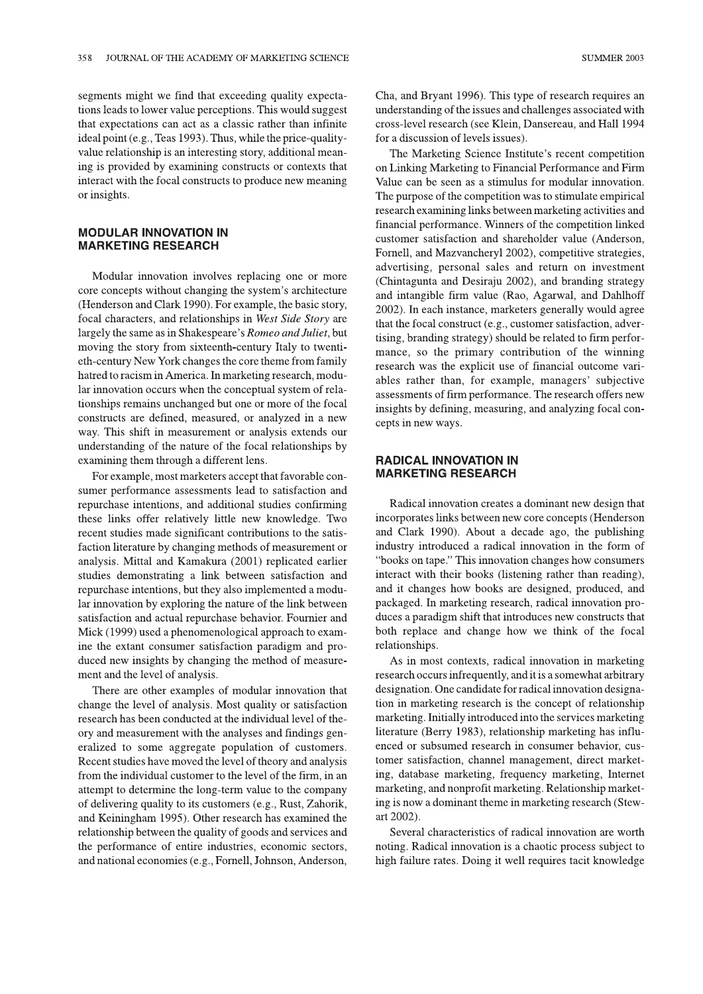**SUMMER 2003** 

segments might we find that exceeding quality expectations leads to lower value perceptions. This would suggest that expectations can act as a classic rather than infinite ideal point (e.g., Teas 1993). Thus, while the price-qualityvalue relationship is an interesting story, additional meaning is provided by examining constructs or contexts that interact with the focal constructs to produce new meaning or insights.

#### **MODULAR INNOVATION IN MARKETING RESEARCH**

Modular innovation involves replacing one or more core concepts without changing the system's architecture (Henderson and Clark 1990). For example, the basic story, focal characters, and relationships in West Side Story are largely the same as in Shakespeare's Romeo and Juliet, but moving the story from sixteenth-century Italy to twentieth-century New York changes the core theme from family hatred to racism in America. In marketing research, modular innovation occurs when the conceptual system of relationships remains unchanged but one or more of the focal constructs are defined, measured, or analyzed in a new way. This shift in measurement or analysis extends our understanding of the nature of the focal relationships by examining them through a different lens.

For example, most marketers accept that favorable consumer performance assessments lead to satisfaction and repurchase intentions, and additional studies confirming these links offer relatively little new knowledge. Two recent studies made significant contributions to the satisfaction literature by changing methods of measurement or analysis. Mittal and Kamakura (2001) replicated earlier studies demonstrating a link between satisfaction and repurchase intentions, but they also implemented a modular innovation by exploring the nature of the link between satisfaction and actual repurchase behavior. Fournier and Mick (1999) used a phenomenological approach to examine the extant consumer satisfaction paradigm and produced new insights by changing the method of measurement and the level of analysis.

There are other examples of modular innovation that change the level of analysis. Most quality or satisfaction research has been conducted at the individual level of theory and measurement with the analyses and findings generalized to some aggregate population of customers. Recent studies have moved the level of theory and analysis from the individual customer to the level of the firm, in an attempt to determine the long-term value to the company of delivering quality to its customers (e.g., Rust, Zahorik, and Keiningham 1995). Other research has examined the relationship between the quality of goods and services and the performance of entire industries, economic sectors, and national economies (e.g., Fornell, Johnson, Anderson, Cha, and Bryant 1996). This type of research requires an understanding of the issues and challenges associated with cross-level research (see Klein, Dansereau, and Hall 1994 for a discussion of levels issues).

The Marketing Science Institute's recent competition on Linking Marketing to Financial Performance and Firm Value can be seen as a stimulus for modular innovation. The purpose of the competition was to stimulate empirical research examining links between marketing activities and financial performance. Winners of the competition linked customer satisfaction and shareholder value (Anderson, Fornell, and Mazvancheryl 2002), competitive strategies, advertising, personal sales and return on investment (Chintagunta and Desiraju 2002), and branding strategy and intangible firm value (Rao, Agarwal, and Dahlhoff 2002). In each instance, marketers generally would agree that the focal construct (e.g., customer satisfaction, advertising, branding strategy) should be related to firm performance, so the primary contribution of the winning research was the explicit use of financial outcome variables rather than, for example, managers' subjective assessments of firm performance. The research offers new insights by defining, measuring, and analyzing focal concepts in new ways.

## **RADICAL INNOVATION IN MARKETING RESEARCH**

Radical innovation creates a dominant new design that incorporates links between new core concepts (Henderson and Clark 1990). About a decade ago, the publishing industry introduced a radical innovation in the form of "books on tape." This innovation changes how consumers interact with their books (listening rather than reading), and it changes how books are designed, produced, and packaged. In marketing research, radical innovation produces a paradigm shift that introduces new constructs that both replace and change how we think of the focal relationships.

As in most contexts, radical innovation in marketing research occurs infrequently, and it is a somewhat arbitrary designation. One candidate for radical innovation designation in marketing research is the concept of relationship marketing. Initially introduced into the services marketing literature (Berry 1983), relationship marketing has influenced or subsumed research in consumer behavior, customer satisfaction, channel management, direct marketing, database marketing, frequency marketing, Internet marketing, and nonprofit marketing. Relationship marketing is now a dominant theme in marketing research (Stewart 2002).

Several characteristics of radical innovation are worth noting. Radical innovation is a chaotic process subject to high failure rates. Doing it well requires tacit knowledge